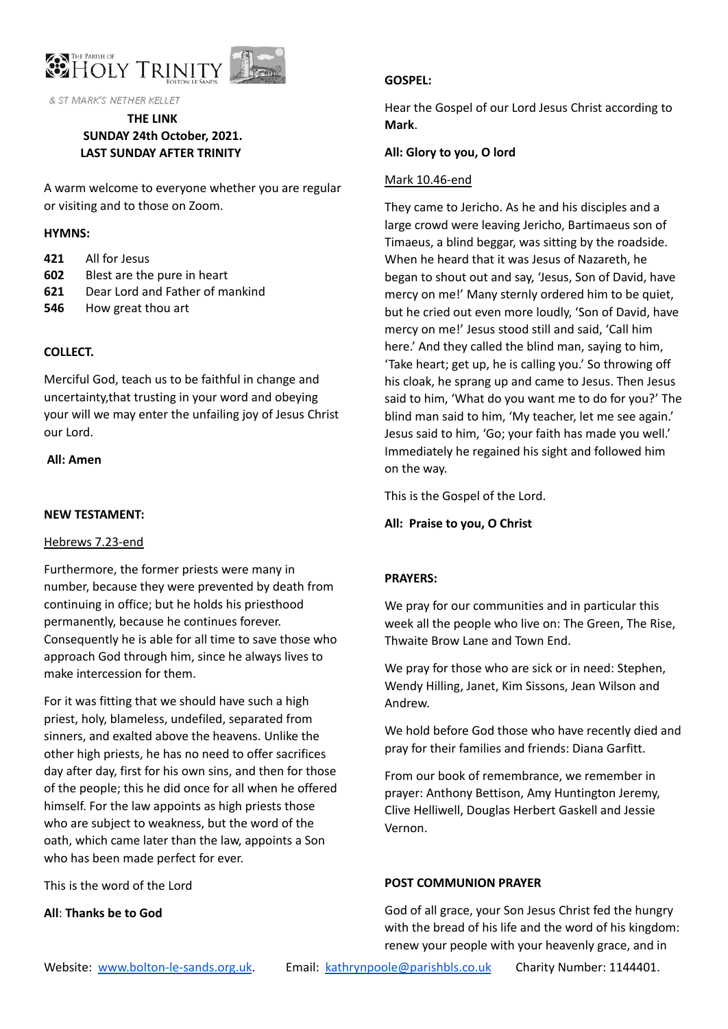

& ST MARK'S NETHER KELLET

# **THE LINK SUNDAY 24th October, 2021. LAST SUNDAY AFTER TRINITY**

A warm welcome to everyone whether you are regular or visiting and to those on Zoom.

#### **HYMNS:**

- **421** All for Jesus
- **602** Blest are the pure in heart
- **621** Dear Lord and Father of mankind
- **546** How great thou art

## **COLLECT.**

Merciful God, teach us to be faithful in change and uncertainty,that trusting in your word and obeying your will we may enter the unfailing joy of Jesus Christ our Lord.

#### **All: Amen**

#### **NEW TESTAMENT:**

#### Hebrews 7.23-end

Furthermore, the former priests were many in number, because they were prevented by death from continuing in office; but he holds his priesthood permanently, because he continues forever. Consequently he is able for all time to save those who approach God through him, since he always lives to make intercession for them.

For it was fitting that we should have such a high priest, holy, blameless, undefiled, separated from sinners, and exalted above the heavens. Unlike the other high priests, he has no need to offer sacrifices day after day, first for his own sins, and then for those of the people; this he did once for all when he offered himself. For the law appoints as high priests those who are subject to weakness, but the word of the oath, which came later than the law, appoints a Son who has been made perfect for ever.

This is the word of the Lord

**All**: **Thanks be to God**

## **GOSPEL:**

Hear the Gospel of our Lord Jesus Christ according to **Mark**.

## **All: Glory to you, O lord**

#### Mark 10.46-end

They came to Jericho. As he and his disciples and a large crowd were leaving Jericho, Bartimaeus son of Timaeus, a blind beggar, was sitting by the roadside. When he heard that it was Jesus of Nazareth, he began to shout out and say, 'Jesus, Son of David, have mercy on me!' Many sternly ordered him to be quiet, but he cried out even more loudly, 'Son of David, have mercy on me!' Jesus stood still and said, 'Call him here.' And they called the blind man, saying to him, 'Take heart; get up, he is calling you.' So throwing off his cloak, he sprang up and came to Jesus. Then Jesus said to him, 'What do you want me to do for you?' The blind man said to him, 'My teacher, let me see again.' Jesus said to him, 'Go; your faith has made you well.' Immediately he regained his sight and followed him on the way.

This is the Gospel of the Lord.

**All: Praise to you, O Christ**

#### **PRAYERS:**

We pray for our communities and in particular this week all the people who live on: The Green, The Rise, Thwaite Brow Lane and Town End.

We pray for those who are sick or in need: Stephen, Wendy Hilling, Janet, Kim Sissons, Jean Wilson and Andrew.

We hold before God those who have recently died and pray for their families and friends: Diana Garfitt.

From our book of remembrance, we remember in prayer: Anthony Bettison, Amy Huntington Jeremy, Clive Helliwell, Douglas Herbert Gaskell and Jessie Vernon.

#### **POST COMMUNION PRAYER**

God of all grace, your Son Jesus Christ fed the hungry with the bread of his life and the word of his kingdom: renew your people with your heavenly grace, and in